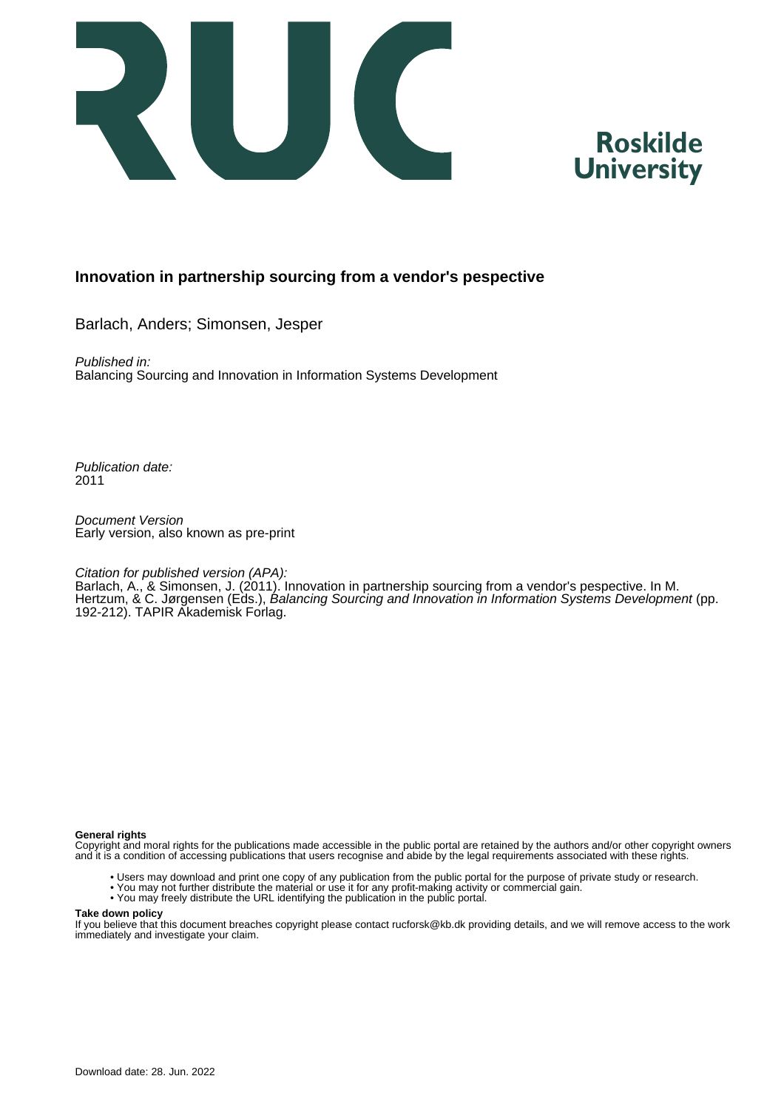



#### **Innovation in partnership sourcing from a vendor's pespective**

Barlach, Anders; Simonsen, Jesper

Published in: Balancing Sourcing and Innovation in Information Systems Development

Publication date: 2011

Document Version Early version, also known as pre-print

#### Citation for published version (APA):

Barlach, A., & Simonsen, J. (2011). Innovation in partnership sourcing from a vendor's pespective. In M. Hertzum, & C. Jørgensen (Eds.), Balancing Sourcing and Innovation in Information Systems Development (pp. 192-212). TAPIR Akademisk Forlag.

#### **General rights**

Copyright and moral rights for the publications made accessible in the public portal are retained by the authors and/or other copyright owners and it is a condition of accessing publications that users recognise and abide by the legal requirements associated with these rights.

- Users may download and print one copy of any publication from the public portal for the purpose of private study or research.
- You may not further distribute the material or use it for any profit-making activity or commercial gain.
- You may freely distribute the URL identifying the publication in the public portal.

#### **Take down policy**

If you believe that this document breaches copyright please contact rucforsk@kb.dk providing details, and we will remove access to the work immediately and investigate your claim.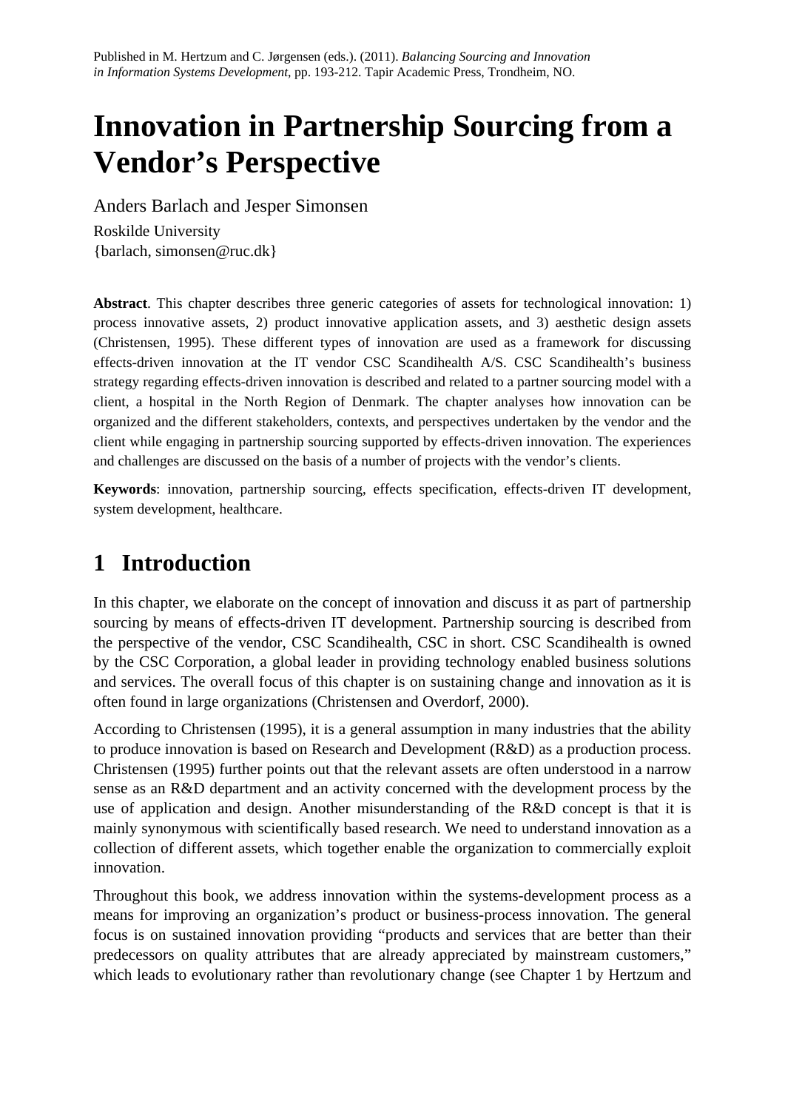# **Innovation in Partnership Sourcing from a Vendor's Perspective**

Anders Barlach and Jesper Simonsen

Roskilde University {barlach, simonsen@ruc.dk}

**Abstract**. This chapter describes three generic categories of assets for technological innovation: 1) process innovative assets, 2) product innovative application assets, and 3) aesthetic design assets (Christensen, 1995). These different types of innovation are used as a framework for discussing effects-driven innovation at the IT vendor CSC Scandihealth A/S. CSC Scandihealth's business strategy regarding effects-driven innovation is described and related to a partner sourcing model with a client, a hospital in the North Region of Denmark. The chapter analyses how innovation can be organized and the different stakeholders, contexts, and perspectives undertaken by the vendor and the client while engaging in partnership sourcing supported by effects-driven innovation. The experiences and challenges are discussed on the basis of a number of projects with the vendor's clients.

**Keywords**: innovation, partnership sourcing, effects specification, effects-driven IT development, system development, healthcare.

## **1 Introduction**

In this chapter, we elaborate on the concept of innovation and discuss it as part of partnership sourcing by means of effects-driven IT development. Partnership sourcing is described from the perspective of the vendor, CSC Scandihealth, CSC in short. CSC Scandihealth is owned by the CSC Corporation, a global leader in providing technology enabled business solutions and services. The overall focus of this chapter is on sustaining change and innovation as it is often found in large organizations (Christensen and Overdorf, 2000).

According to Christensen (1995), it is a general assumption in many industries that the ability to produce innovation is based on Research and Development (R&D) as a production process. Christensen (1995) further points out that the relevant assets are often understood in a narrow sense as an R&D department and an activity concerned with the development process by the use of application and design. Another misunderstanding of the R&D concept is that it is mainly synonymous with scientifically based research. We need to understand innovation as a collection of different assets, which together enable the organization to commercially exploit innovation.

Throughout this book, we address innovation within the systems-development process as a means for improving an organization's product or business-process innovation. The general focus is on sustained innovation providing "products and services that are better than their predecessors on quality attributes that are already appreciated by mainstream customers," which leads to evolutionary rather than revolutionary change (see Chapter 1 by Hertzum and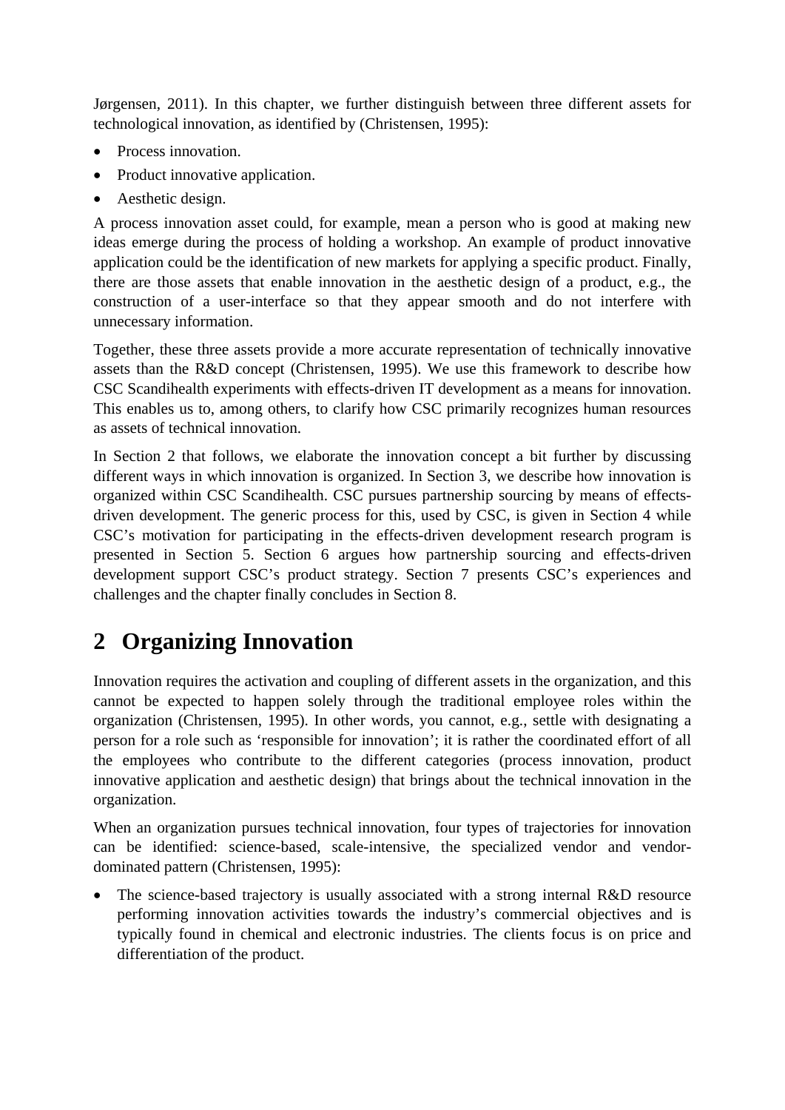Jørgensen, 2011). In this chapter, we further distinguish between three different assets for technological innovation, as identified by (Christensen, 1995):

- Process innovation.
- Product innovative application.
- Aesthetic design.

A process innovation asset could, for example, mean a person who is good at making new ideas emerge during the process of holding a workshop. An example of product innovative application could be the identification of new markets for applying a specific product. Finally, there are those assets that enable innovation in the aesthetic design of a product, e.g., the construction of a user-interface so that they appear smooth and do not interfere with unnecessary information.

Together, these three assets provide a more accurate representation of technically innovative assets than the R&D concept (Christensen, 1995). We use this framework to describe how CSC Scandihealth experiments with effects-driven IT development as a means for innovation. This enables us to, among others, to clarify how CSC primarily recognizes human resources as assets of technical innovation.

In Section 2 that follows, we elaborate the innovation concept a bit further by discussing different ways in which innovation is organized. In Section 3, we describe how innovation is organized within CSC Scandihealth. CSC pursues partnership sourcing by means of effectsdriven development. The generic process for this, used by CSC, is given in Section 4 while CSC's motivation for participating in the effects-driven development research program is presented in Section 5. Section 6 argues how partnership sourcing and effects-driven development support CSC's product strategy. Section 7 presents CSC's experiences and challenges and the chapter finally concludes in Section 8.

## **2 Organizing Innovation**

Innovation requires the activation and coupling of different assets in the organization, and this cannot be expected to happen solely through the traditional employee roles within the organization (Christensen, 1995). In other words, you cannot, e.g., settle with designating a person for a role such as 'responsible for innovation'; it is rather the coordinated effort of all the employees who contribute to the different categories (process innovation, product innovative application and aesthetic design) that brings about the technical innovation in the organization.

When an organization pursues technical innovation, four types of trajectories for innovation can be identified: science-based, scale-intensive, the specialized vendor and vendordominated pattern (Christensen, 1995):

The science-based trajectory is usually associated with a strong internal R&D resource performing innovation activities towards the industry's commercial objectives and is typically found in chemical and electronic industries. The clients focus is on price and differentiation of the product.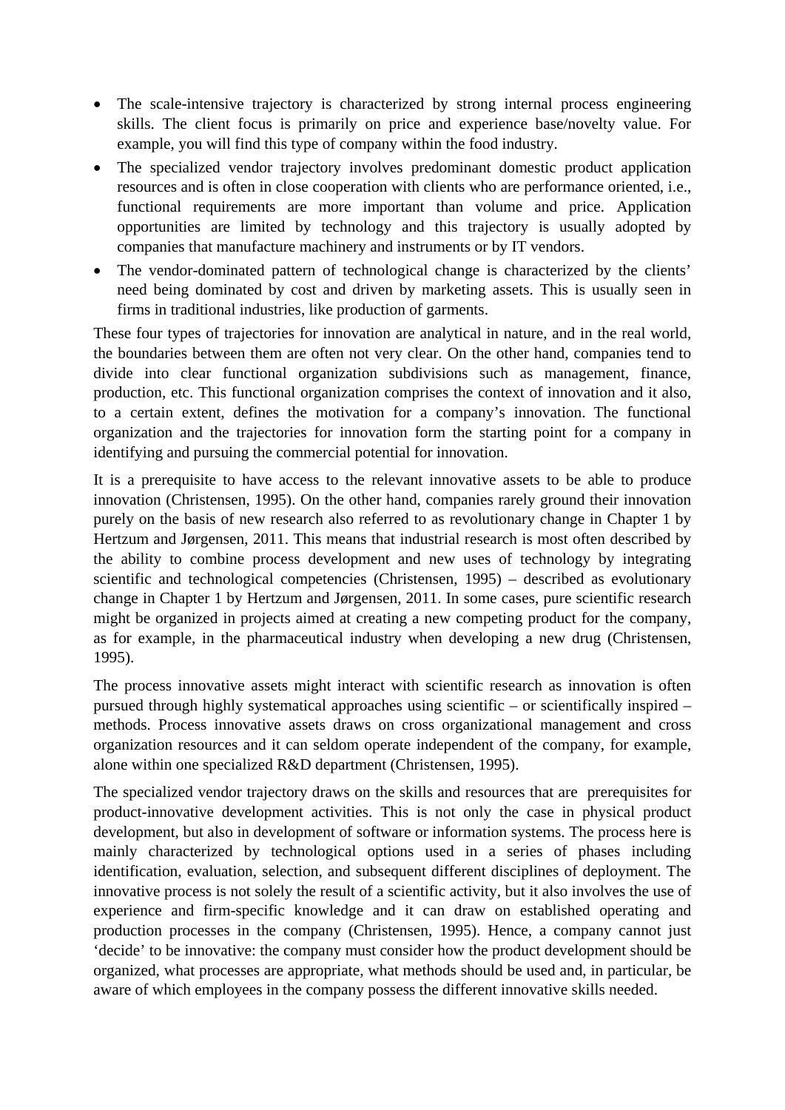- The scale-intensive trajectory is characterized by strong internal process engineering skills. The client focus is primarily on price and experience base/novelty value. For example, you will find this type of company within the food industry.
- The specialized vendor trajectory involves predominant domestic product application resources and is often in close cooperation with clients who are performance oriented, i.e., functional requirements are more important than volume and price. Application opportunities are limited by technology and this trajectory is usually adopted by companies that manufacture machinery and instruments or by IT vendors.
- The vendor-dominated pattern of technological change is characterized by the clients' need being dominated by cost and driven by marketing assets. This is usually seen in firms in traditional industries, like production of garments.

These four types of trajectories for innovation are analytical in nature, and in the real world, the boundaries between them are often not very clear. On the other hand, companies tend to divide into clear functional organization subdivisions such as management, finance, production, etc. This functional organization comprises the context of innovation and it also, to a certain extent, defines the motivation for a company's innovation. The functional organization and the trajectories for innovation form the starting point for a company in identifying and pursuing the commercial potential for innovation.

It is a prerequisite to have access to the relevant innovative assets to be able to produce innovation (Christensen, 1995). On the other hand, companies rarely ground their innovation purely on the basis of new research also referred to as revolutionary change in Chapter 1 by Hertzum and Jørgensen, 2011. This means that industrial research is most often described by the ability to combine process development and new uses of technology by integrating scientific and technological competencies (Christensen, 1995) – described as evolutionary change in Chapter 1 by Hertzum and Jørgensen, 2011. In some cases, pure scientific research might be organized in projects aimed at creating a new competing product for the company, as for example, in the pharmaceutical industry when developing a new drug (Christensen, 1995).

The process innovative assets might interact with scientific research as innovation is often pursued through highly systematical approaches using scientific – or scientifically inspired – methods. Process innovative assets draws on cross organizational management and cross organization resources and it can seldom operate independent of the company, for example, alone within one specialized R&D department (Christensen, 1995).

The specialized vendor trajectory draws on the skills and resources that are prerequisites for product-innovative development activities. This is not only the case in physical product development, but also in development of software or information systems. The process here is mainly characterized by technological options used in a series of phases including identification, evaluation, selection, and subsequent different disciplines of deployment. The innovative process is not solely the result of a scientific activity, but it also involves the use of experience and firm-specific knowledge and it can draw on established operating and production processes in the company (Christensen, 1995). Hence, a company cannot just 'decide' to be innovative: the company must consider how the product development should be organized, what processes are appropriate, what methods should be used and, in particular, be aware of which employees in the company possess the different innovative skills needed.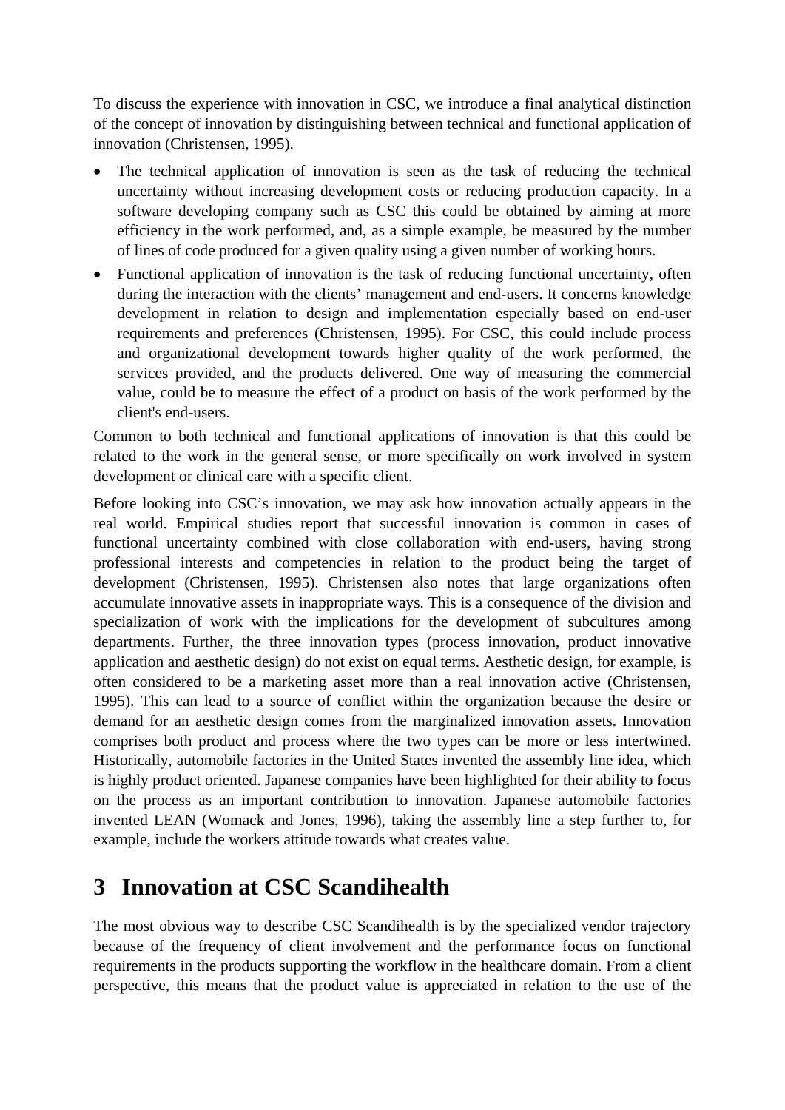To discuss the experience with innovation in CSC, we introduce a final analytical distinction of the concept of innovation by distinguishing between technical and functional application of innovation (Christensen, 1995).

- The technical application of innovation is seen as the task of reducing the technical uncertainty without increasing development costs or reducing production capacity. In a software developing company such as CSC this could be obtained by aiming at more efficiency in the work performed, and, as a simple example, be measured by the number of lines of code produced for a given quality using a given number of working hours.
- Functional application of innovation is the task of reducing functional uncertainty, often during the interaction with the clients' management and end-users. It concerns knowledge development in relation to design and implementation especially based on end-user requirements and preferences (Christensen, 1995). For CSC, this could include process and organizational development towards higher quality of the work performed, the services provided, and the products delivered. One way of measuring the commercial value, could be to measure the effect of a product on basis of the work performed by the client's end-users.

Common to both technical and functional applications of innovation is that this could be related to the work in the general sense, or more specifically on work involved in system development or clinical care with a specific client.

Before looking into CSC's innovation, we may ask how innovation actually appears in the real world. Empirical studies report that successful innovation is common in cases of functional uncertainty combined with close collaboration with end-users, having strong professional interests and competencies in relation to the product being the target of development (Christensen, 1995). Christensen also notes that large organizations often accumulate innovative assets in inappropriate ways. This is a consequence of the division and specialization of work with the implications for the development of subcultures among departments. Further, the three innovation types (process innovation, product innovative application and aesthetic design) do not exist on equal terms. Aesthetic design, for example, is often considered to be a marketing asset more than a real innovation active (Christensen, 1995). This can lead to a source of conflict within the organization because the desire or demand for an aesthetic design comes from the marginalized innovation assets. Innovation comprises both product and process where the two types can be more or less intertwined. Historically, automobile factories in the United States invented the assembly line idea, which is highly product oriented. Japanese companies have been highlighted for their ability to focus on the process as an important contribution to innovation. Japanese automobile factories invented LEAN (Womack and Jones, 1996), taking the assembly line a step further to, for example, include the workers attitude towards what creates value.

#### **3 Innovation at CSC Scandihealth**

The most obvious way to describe CSC Scandihealth is by the specialized vendor trajectory because of the frequency of client involvement and the performance focus on functional requirements in the products supporting the workflow in the healthcare domain. From a client perspective, this means that the product value is appreciated in relation to the use of the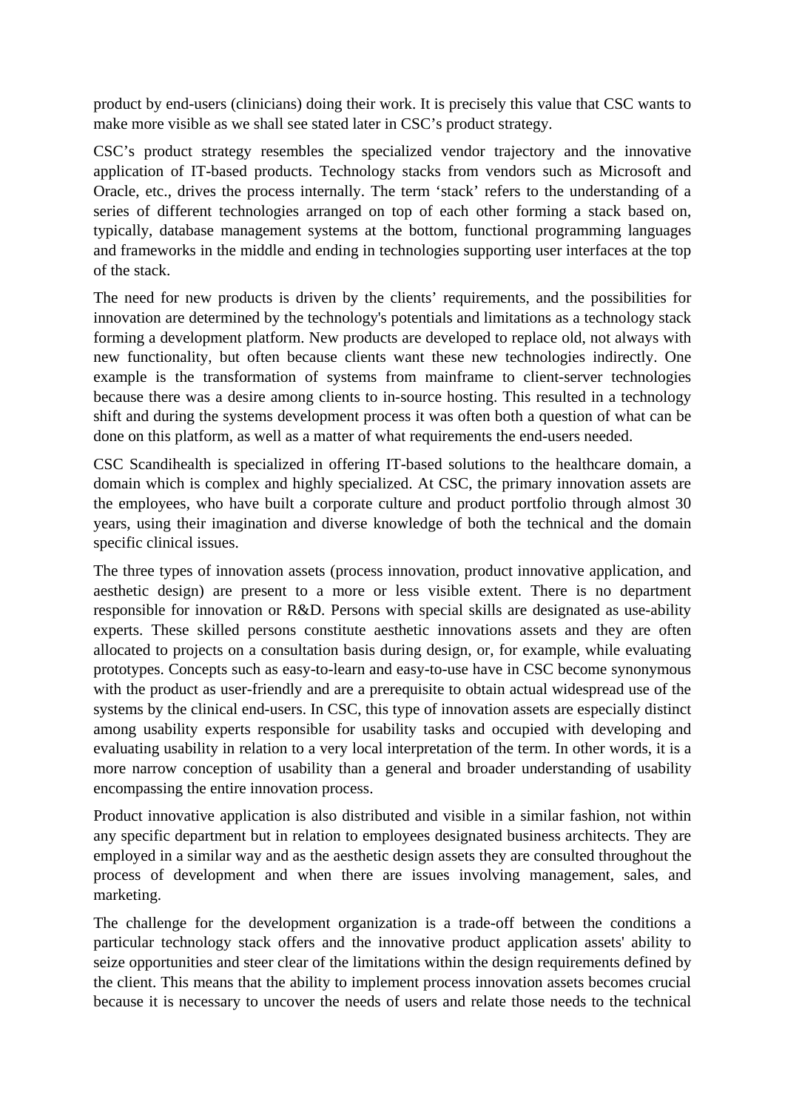product by end-users (clinicians) doing their work. It is precisely this value that CSC wants to make more visible as we shall see stated later in CSC's product strategy.

CSC's product strategy resembles the specialized vendor trajectory and the innovative application of IT-based products. Technology stacks from vendors such as Microsoft and Oracle, etc., drives the process internally. The term 'stack' refers to the understanding of a series of different technologies arranged on top of each other forming a stack based on, typically, database management systems at the bottom, functional programming languages and frameworks in the middle and ending in technologies supporting user interfaces at the top of the stack.

The need for new products is driven by the clients' requirements, and the possibilities for innovation are determined by the technology's potentials and limitations as a technology stack forming a development platform. New products are developed to replace old, not always with new functionality, but often because clients want these new technologies indirectly. One example is the transformation of systems from mainframe to client-server technologies because there was a desire among clients to in-source hosting. This resulted in a technology shift and during the systems development process it was often both a question of what can be done on this platform, as well as a matter of what requirements the end-users needed.

CSC Scandihealth is specialized in offering IT-based solutions to the healthcare domain, a domain which is complex and highly specialized. At CSC, the primary innovation assets are the employees, who have built a corporate culture and product portfolio through almost 30 years, using their imagination and diverse knowledge of both the technical and the domain specific clinical issues.

The three types of innovation assets (process innovation, product innovative application, and aesthetic design) are present to a more or less visible extent. There is no department responsible for innovation or R&D. Persons with special skills are designated as use-ability experts. These skilled persons constitute aesthetic innovations assets and they are often allocated to projects on a consultation basis during design, or, for example, while evaluating prototypes. Concepts such as easy-to-learn and easy-to-use have in CSC become synonymous with the product as user-friendly and are a prerequisite to obtain actual widespread use of the systems by the clinical end-users. In CSC, this type of innovation assets are especially distinct among usability experts responsible for usability tasks and occupied with developing and evaluating usability in relation to a very local interpretation of the term. In other words, it is a more narrow conception of usability than a general and broader understanding of usability encompassing the entire innovation process.

Product innovative application is also distributed and visible in a similar fashion, not within any specific department but in relation to employees designated business architects. They are employed in a similar way and as the aesthetic design assets they are consulted throughout the process of development and when there are issues involving management, sales, and marketing.

The challenge for the development organization is a trade-off between the conditions a particular technology stack offers and the innovative product application assets' ability to seize opportunities and steer clear of the limitations within the design requirements defined by the client. This means that the ability to implement process innovation assets becomes crucial because it is necessary to uncover the needs of users and relate those needs to the technical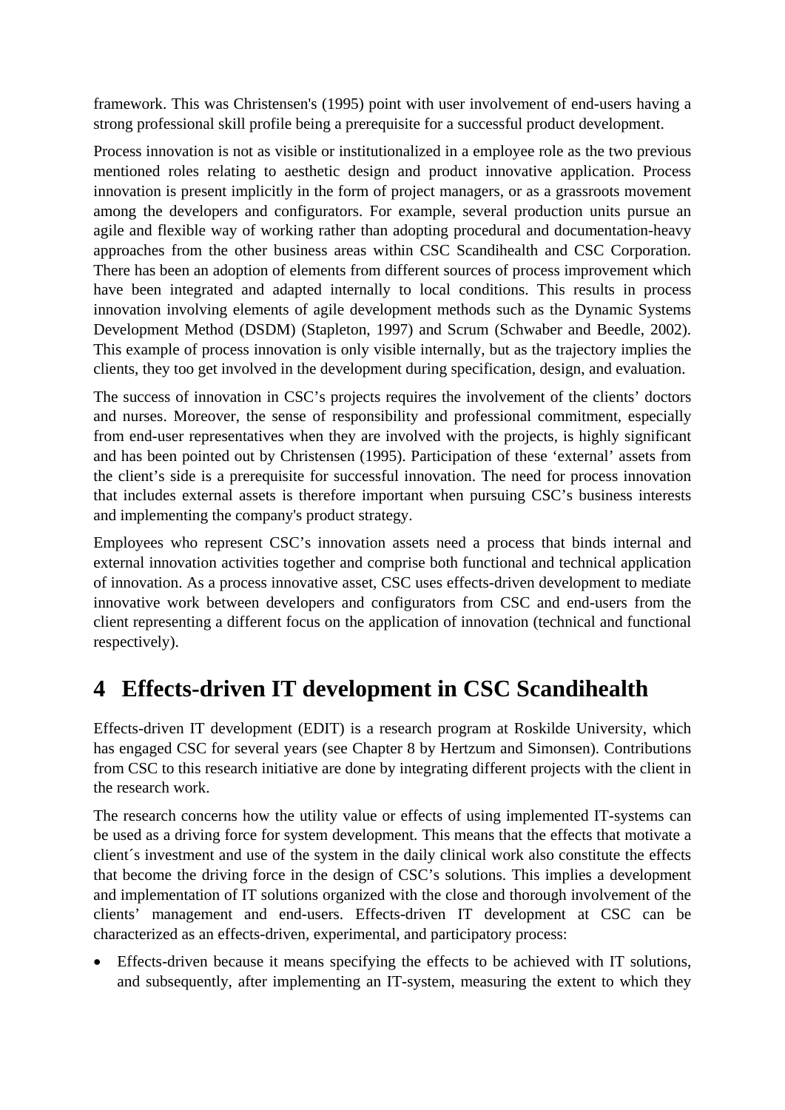framework. This was Christensen's (1995) point with user involvement of end-users having a strong professional skill profile being a prerequisite for a successful product development.

Process innovation is not as visible or institutionalized in a employee role as the two previous mentioned roles relating to aesthetic design and product innovative application. Process innovation is present implicitly in the form of project managers, or as a grassroots movement among the developers and configurators. For example, several production units pursue an agile and flexible way of working rather than adopting procedural and documentation-heavy approaches from the other business areas within CSC Scandihealth and CSC Corporation. There has been an adoption of elements from different sources of process improvement which have been integrated and adapted internally to local conditions. This results in process innovation involving elements of agile development methods such as the Dynamic Systems Development Method (DSDM) (Stapleton, 1997) and Scrum (Schwaber and Beedle, 2002). This example of process innovation is only visible internally, but as the trajectory implies the clients, they too get involved in the development during specification, design, and evaluation.

The success of innovation in CSC's projects requires the involvement of the clients' doctors and nurses. Moreover, the sense of responsibility and professional commitment, especially from end-user representatives when they are involved with the projects, is highly significant and has been pointed out by Christensen (1995). Participation of these 'external' assets from the client's side is a prerequisite for successful innovation. The need for process innovation that includes external assets is therefore important when pursuing CSC's business interests and implementing the company's product strategy.

Employees who represent CSC's innovation assets need a process that binds internal and external innovation activities together and comprise both functional and technical application of innovation. As a process innovative asset, CSC uses effects-driven development to mediate innovative work between developers and configurators from CSC and end-users from the client representing a different focus on the application of innovation (technical and functional respectively).

## **4 Effects-driven IT development in CSC Scandihealth**

Effects-driven IT development (EDIT) is a research program at Roskilde University, which has engaged CSC for several years (see Chapter 8 by Hertzum and Simonsen). Contributions from CSC to this research initiative are done by integrating different projects with the client in the research work.

The research concerns how the utility value or effects of using implemented IT-systems can be used as a driving force for system development. This means that the effects that motivate a client´s investment and use of the system in the daily clinical work also constitute the effects that become the driving force in the design of CSC's solutions. This implies a development and implementation of IT solutions organized with the close and thorough involvement of the clients' management and end-users. Effects-driven IT development at CSC can be characterized as an effects-driven, experimental, and participatory process:

• Effects-driven because it means specifying the effects to be achieved with IT solutions, and subsequently, after implementing an IT-system, measuring the extent to which they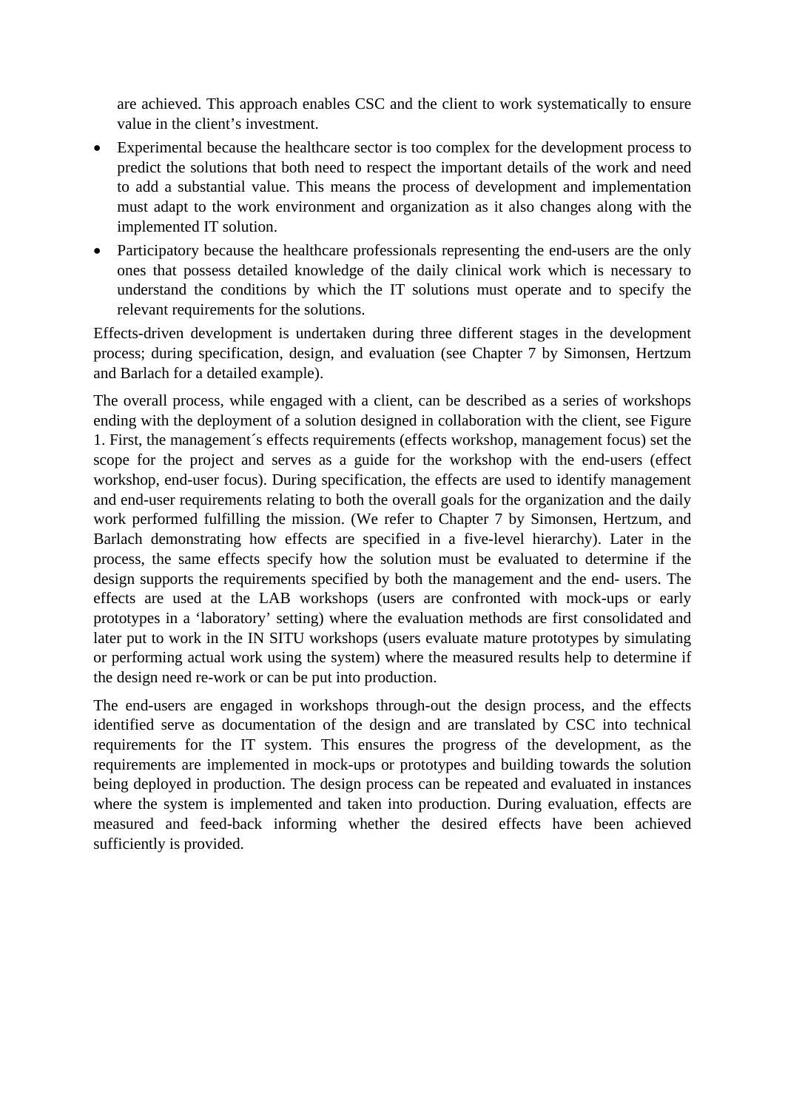are achieved. This approach enables CSC and the client to work systematically to ensure value in the client's investment.

- Experimental because the healthcare sector is too complex for the development process to predict the solutions that both need to respect the important details of the work and need to add a substantial value. This means the process of development and implementation must adapt to the work environment and organization as it also changes along with the implemented IT solution.
- Participatory because the healthcare professionals representing the end-users are the only ones that possess detailed knowledge of the daily clinical work which is necessary to understand the conditions by which the IT solutions must operate and to specify the relevant requirements for the solutions.

Effects-driven development is undertaken during three different stages in the development process; during specification, design, and evaluation (see Chapter 7 by Simonsen, Hertzum and Barlach for a detailed example).

The overall process, while engaged with a client, can be described as a series of workshops ending with the deployment of a solution designed in collaboration with the client, see Figure 1. First, the management´s effects requirements (effects workshop, management focus) set the scope for the project and serves as a guide for the workshop with the end-users (effect workshop, end-user focus). During specification, the effects are used to identify management and end-user requirements relating to both the overall goals for the organization and the daily work performed fulfilling the mission. (We refer to Chapter 7 by Simonsen, Hertzum, and Barlach demonstrating how effects are specified in a five-level hierarchy). Later in the process, the same effects specify how the solution must be evaluated to determine if the design supports the requirements specified by both the management and the end- users. The effects are used at the LAB workshops (users are confronted with mock-ups or early prototypes in a 'laboratory' setting) where the evaluation methods are first consolidated and later put to work in the IN SITU workshops (users evaluate mature prototypes by simulating or performing actual work using the system) where the measured results help to determine if the design need re-work or can be put into production.

The end-users are engaged in workshops through-out the design process, and the effects identified serve as documentation of the design and are translated by CSC into technical requirements for the IT system. This ensures the progress of the development, as the requirements are implemented in mock-ups or prototypes and building towards the solution being deployed in production. The design process can be repeated and evaluated in instances where the system is implemented and taken into production. During evaluation, effects are measured and feed-back informing whether the desired effects have been achieved sufficiently is provided.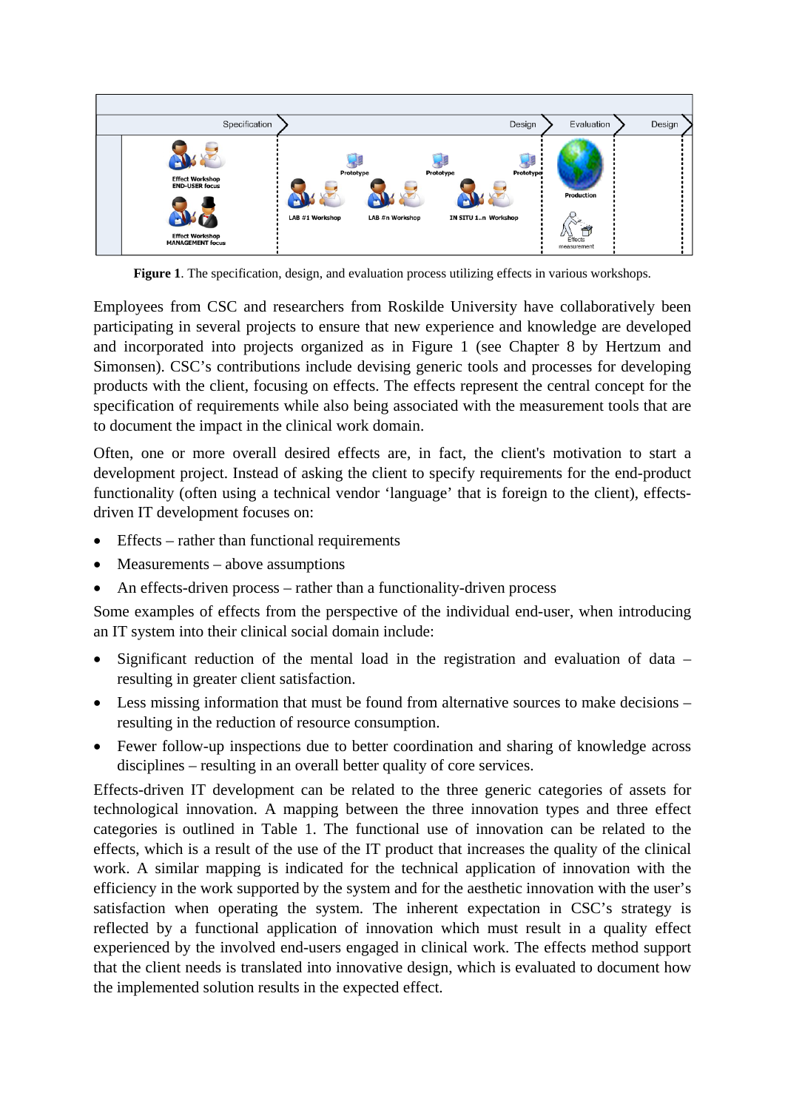

**Figure 1**. The specification, design, and evaluation process utilizing effects in various workshops.

Employees from CSC and researchers from Roskilde University have collaboratively been participating in several projects to ensure that new experience and knowledge are developed and incorporated into projects organized as in Figure 1 (see Chapter 8 by Hertzum and Simonsen). CSC's contributions include devising generic tools and processes for developing products with the client, focusing on effects. The effects represent the central concept for the specification of requirements while also being associated with the measurement tools that are to document the impact in the clinical work domain.

Often, one or more overall desired effects are, in fact, the client's motivation to start a development project. Instead of asking the client to specify requirements for the end-product functionality (often using a technical vendor 'language' that is foreign to the client), effectsdriven IT development focuses on:

- Effects rather than functional requirements
- Measurements above assumptions
- An effects-driven process rather than a functionality-driven process

Some examples of effects from the perspective of the individual end-user, when introducing an IT system into their clinical social domain include:

- Significant reduction of the mental load in the registration and evaluation of data resulting in greater client satisfaction.
- Less missing information that must be found from alternative sources to make decisions resulting in the reduction of resource consumption.
- Fewer follow-up inspections due to better coordination and sharing of knowledge across disciplines – resulting in an overall better quality of core services.

Effects-driven IT development can be related to the three generic categories of assets for technological innovation. A mapping between the three innovation types and three effect categories is outlined in Table 1. The functional use of innovation can be related to the effects, which is a result of the use of the IT product that increases the quality of the clinical work. A similar mapping is indicated for the technical application of innovation with the efficiency in the work supported by the system and for the aesthetic innovation with the user's satisfaction when operating the system. The inherent expectation in CSC's strategy is reflected by a functional application of innovation which must result in a quality effect experienced by the involved end-users engaged in clinical work. The effects method support that the client needs is translated into innovative design, which is evaluated to document how the implemented solution results in the expected effect.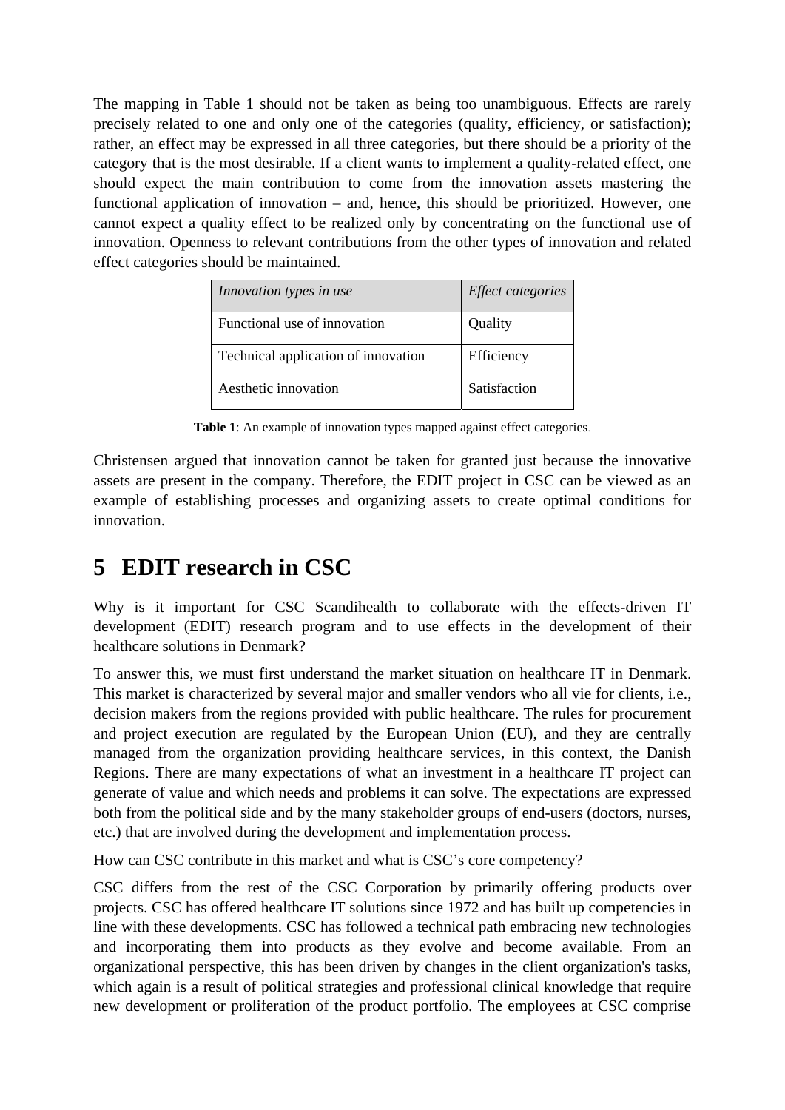The mapping in Table 1 should not be taken as being too unambiguous. Effects are rarely precisely related to one and only one of the categories (quality, efficiency, or satisfaction); rather, an effect may be expressed in all three categories, but there should be a priority of the category that is the most desirable. If a client wants to implement a quality-related effect, one should expect the main contribution to come from the innovation assets mastering the functional application of innovation – and, hence, this should be prioritized. However, one cannot expect a quality effect to be realized only by concentrating on the functional use of innovation. Openness to relevant contributions from the other types of innovation and related effect categories should be maintained.

| Innovation types in use             | <i>Effect categories</i> |
|-------------------------------------|--------------------------|
| Functional use of innovation        | Quality                  |
| Technical application of innovation | Efficiency               |
| Aesthetic innovation                | Satisfaction             |

**Table 1**: An example of innovation types mapped against effect categories.

Christensen argued that innovation cannot be taken for granted just because the innovative assets are present in the company. Therefore, the EDIT project in CSC can be viewed as an example of establishing processes and organizing assets to create optimal conditions for innovation.

## **5 EDIT research in CSC**

Why is it important for CSC Scandihealth to collaborate with the effects-driven IT development (EDIT) research program and to use effects in the development of their healthcare solutions in Denmark?

To answer this, we must first understand the market situation on healthcare IT in Denmark. This market is characterized by several major and smaller vendors who all vie for clients, i.e., decision makers from the regions provided with public healthcare. The rules for procurement and project execution are regulated by the European Union (EU), and they are centrally managed from the organization providing healthcare services, in this context, the Danish Regions. There are many expectations of what an investment in a healthcare IT project can generate of value and which needs and problems it can solve. The expectations are expressed both from the political side and by the many stakeholder groups of end-users (doctors, nurses, etc.) that are involved during the development and implementation process.

How can CSC contribute in this market and what is CSC's core competency?

CSC differs from the rest of the CSC Corporation by primarily offering products over projects. CSC has offered healthcare IT solutions since 1972 and has built up competencies in line with these developments. CSC has followed a technical path embracing new technologies and incorporating them into products as they evolve and become available. From an organizational perspective, this has been driven by changes in the client organization's tasks, which again is a result of political strategies and professional clinical knowledge that require new development or proliferation of the product portfolio. The employees at CSC comprise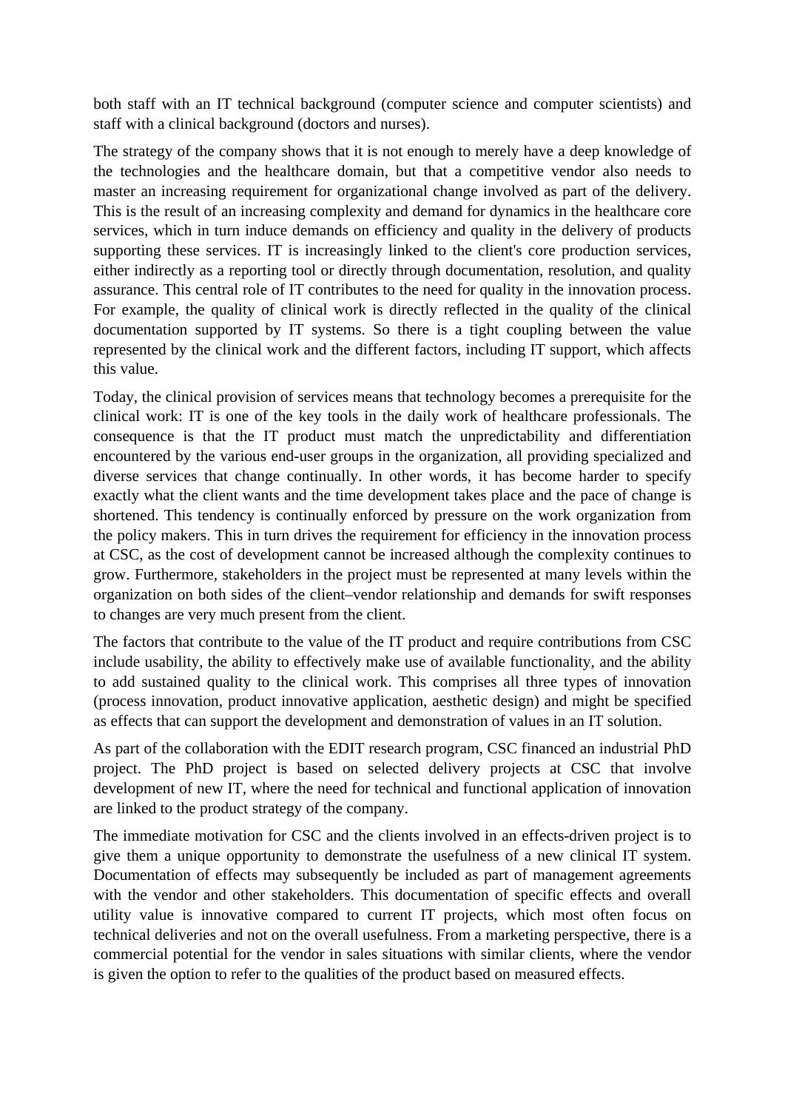both staff with an IT technical background (computer science and computer scientists) and staff with a clinical background (doctors and nurses).

The strategy of the company shows that it is not enough to merely have a deep knowledge of the technologies and the healthcare domain, but that a competitive vendor also needs to master an increasing requirement for organizational change involved as part of the delivery. This is the result of an increasing complexity and demand for dynamics in the healthcare core services, which in turn induce demands on efficiency and quality in the delivery of products supporting these services. IT is increasingly linked to the client's core production services, either indirectly as a reporting tool or directly through documentation, resolution, and quality assurance. This central role of IT contributes to the need for quality in the innovation process. For example, the quality of clinical work is directly reflected in the quality of the clinical documentation supported by IT systems. So there is a tight coupling between the value represented by the clinical work and the different factors, including IT support, which affects this value.

Today, the clinical provision of services means that technology becomes a prerequisite for the clinical work: IT is one of the key tools in the daily work of healthcare professionals. The consequence is that the IT product must match the unpredictability and differentiation encountered by the various end-user groups in the organization, all providing specialized and diverse services that change continually. In other words, it has become harder to specify exactly what the client wants and the time development takes place and the pace of change is shortened. This tendency is continually enforced by pressure on the work organization from the policy makers. This in turn drives the requirement for efficiency in the innovation process at CSC, as the cost of development cannot be increased although the complexity continues to grow. Furthermore, stakeholders in the project must be represented at many levels within the organization on both sides of the client–vendor relationship and demands for swift responses to changes are very much present from the client.

The factors that contribute to the value of the IT product and require contributions from CSC include usability, the ability to effectively make use of available functionality, and the ability to add sustained quality to the clinical work. This comprises all three types of innovation (process innovation, product innovative application, aesthetic design) and might be specified as effects that can support the development and demonstration of values in an IT solution.

As part of the collaboration with the EDIT research program, CSC financed an industrial PhD project. The PhD project is based on selected delivery projects at CSC that involve development of new IT, where the need for technical and functional application of innovation are linked to the product strategy of the company.

The immediate motivation for CSC and the clients involved in an effects-driven project is to give them a unique opportunity to demonstrate the usefulness of a new clinical IT system. Documentation of effects may subsequently be included as part of management agreements with the vendor and other stakeholders. This documentation of specific effects and overall utility value is innovative compared to current IT projects, which most often focus on technical deliveries and not on the overall usefulness. From a marketing perspective, there is a commercial potential for the vendor in sales situations with similar clients, where the vendor is given the option to refer to the qualities of the product based on measured effects.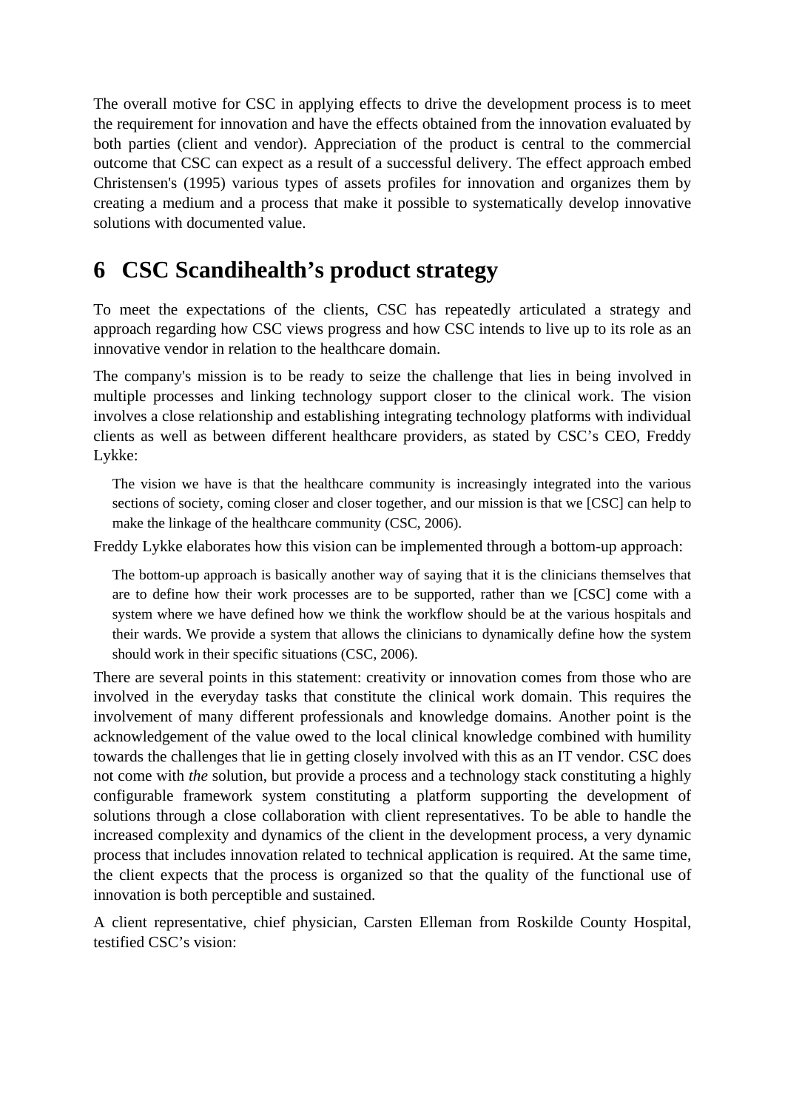The overall motive for CSC in applying effects to drive the development process is to meet the requirement for innovation and have the effects obtained from the innovation evaluated by both parties (client and vendor). Appreciation of the product is central to the commercial outcome that CSC can expect as a result of a successful delivery. The effect approach embed Christensen's (1995) various types of assets profiles for innovation and organizes them by creating a medium and a process that make it possible to systematically develop innovative solutions with documented value.

### **6 CSC Scandihealth's product strategy**

To meet the expectations of the clients, CSC has repeatedly articulated a strategy and approach regarding how CSC views progress and how CSC intends to live up to its role as an innovative vendor in relation to the healthcare domain.

The company's mission is to be ready to seize the challenge that lies in being involved in multiple processes and linking technology support closer to the clinical work. The vision involves a close relationship and establishing integrating technology platforms with individual clients as well as between different healthcare providers, as stated by CSC's CEO, Freddy Lykke:

The vision we have is that the healthcare community is increasingly integrated into the various sections of society, coming closer and closer together, and our mission is that we [CSC] can help to make the linkage of the healthcare community (CSC, 2006).

Freddy Lykke elaborates how this vision can be implemented through a bottom-up approach:

The bottom-up approach is basically another way of saying that it is the clinicians themselves that are to define how their work processes are to be supported, rather than we [CSC] come with a system where we have defined how we think the workflow should be at the various hospitals and their wards. We provide a system that allows the clinicians to dynamically define how the system should work in their specific situations (CSC, 2006).

There are several points in this statement: creativity or innovation comes from those who are involved in the everyday tasks that constitute the clinical work domain. This requires the involvement of many different professionals and knowledge domains. Another point is the acknowledgement of the value owed to the local clinical knowledge combined with humility towards the challenges that lie in getting closely involved with this as an IT vendor. CSC does not come with *the* solution, but provide a process and a technology stack constituting a highly configurable framework system constituting a platform supporting the development of solutions through a close collaboration with client representatives. To be able to handle the increased complexity and dynamics of the client in the development process, a very dynamic process that includes innovation related to technical application is required. At the same time, the client expects that the process is organized so that the quality of the functional use of innovation is both perceptible and sustained.

A client representative, chief physician, Carsten Elleman from Roskilde County Hospital, testified CSC's vision: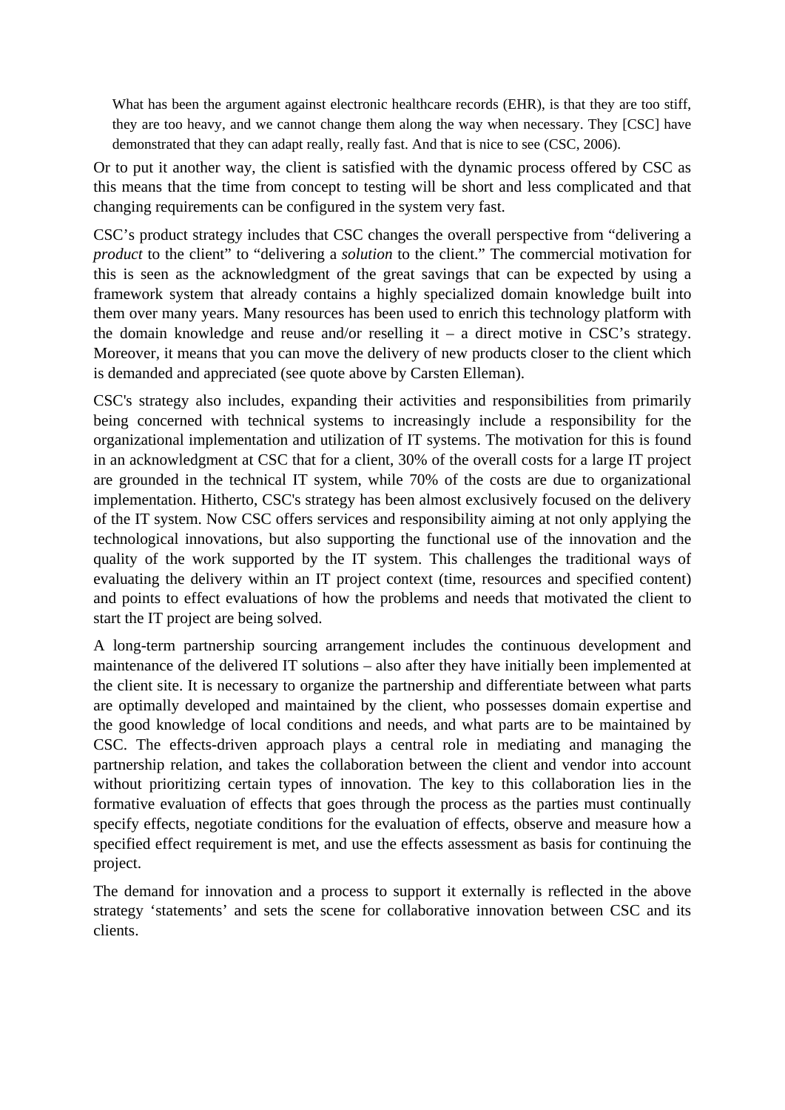What has been the argument against electronic healthcare records (EHR), is that they are too stiff, they are too heavy, and we cannot change them along the way when necessary. They [CSC] have demonstrated that they can adapt really, really fast. And that is nice to see (CSC, 2006).

Or to put it another way, the client is satisfied with the dynamic process offered by CSC as this means that the time from concept to testing will be short and less complicated and that changing requirements can be configured in the system very fast.

CSC's product strategy includes that CSC changes the overall perspective from "delivering a *product* to the client" to "delivering a *solution* to the client." The commercial motivation for this is seen as the acknowledgment of the great savings that can be expected by using a framework system that already contains a highly specialized domain knowledge built into them over many years. Many resources has been used to enrich this technology platform with the domain knowledge and reuse and/or reselling it  $-$  a direct motive in CSC's strategy. Moreover, it means that you can move the delivery of new products closer to the client which is demanded and appreciated (see quote above by Carsten Elleman).

CSC's strategy also includes, expanding their activities and responsibilities from primarily being concerned with technical systems to increasingly include a responsibility for the organizational implementation and utilization of IT systems. The motivation for this is found in an acknowledgment at CSC that for a client, 30% of the overall costs for a large IT project are grounded in the technical IT system, while 70% of the costs are due to organizational implementation. Hitherto, CSC's strategy has been almost exclusively focused on the delivery of the IT system. Now CSC offers services and responsibility aiming at not only applying the technological innovations, but also supporting the functional use of the innovation and the quality of the work supported by the IT system. This challenges the traditional ways of evaluating the delivery within an IT project context (time, resources and specified content) and points to effect evaluations of how the problems and needs that motivated the client to start the IT project are being solved.

A long-term partnership sourcing arrangement includes the continuous development and maintenance of the delivered IT solutions – also after they have initially been implemented at the client site. It is necessary to organize the partnership and differentiate between what parts are optimally developed and maintained by the client, who possesses domain expertise and the good knowledge of local conditions and needs, and what parts are to be maintained by CSC. The effects-driven approach plays a central role in mediating and managing the partnership relation, and takes the collaboration between the client and vendor into account without prioritizing certain types of innovation. The key to this collaboration lies in the formative evaluation of effects that goes through the process as the parties must continually specify effects, negotiate conditions for the evaluation of effects, observe and measure how a specified effect requirement is met, and use the effects assessment as basis for continuing the project.

The demand for innovation and a process to support it externally is reflected in the above strategy 'statements' and sets the scene for collaborative innovation between CSC and its clients.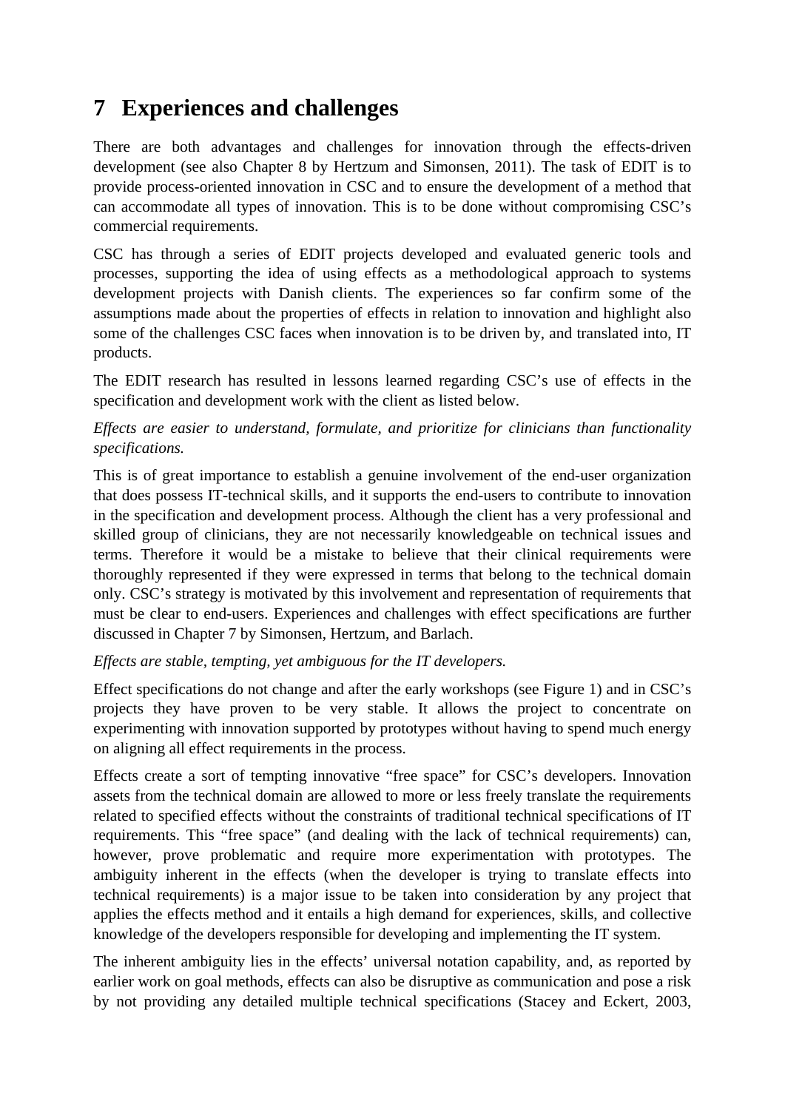## **7 Experiences and challenges**

There are both advantages and challenges for innovation through the effects-driven development (see also Chapter 8 by Hertzum and Simonsen, 2011). The task of EDIT is to provide process-oriented innovation in CSC and to ensure the development of a method that can accommodate all types of innovation. This is to be done without compromising CSC's commercial requirements.

CSC has through a series of EDIT projects developed and evaluated generic tools and processes, supporting the idea of using effects as a methodological approach to systems development projects with Danish clients. The experiences so far confirm some of the assumptions made about the properties of effects in relation to innovation and highlight also some of the challenges CSC faces when innovation is to be driven by, and translated into, IT products.

The EDIT research has resulted in lessons learned regarding CSC's use of effects in the specification and development work with the client as listed below.

#### *Effects are easier to understand, formulate, and prioritize for clinicians than functionality specifications.*

This is of great importance to establish a genuine involvement of the end-user organization that does possess IT-technical skills, and it supports the end-users to contribute to innovation in the specification and development process. Although the client has a very professional and skilled group of clinicians, they are not necessarily knowledgeable on technical issues and terms. Therefore it would be a mistake to believe that their clinical requirements were thoroughly represented if they were expressed in terms that belong to the technical domain only. CSC's strategy is motivated by this involvement and representation of requirements that must be clear to end-users. Experiences and challenges with effect specifications are further discussed in Chapter 7 by Simonsen, Hertzum, and Barlach.

#### *Effects are stable, tempting, yet ambiguous for the IT developers.*

Effect specifications do not change and after the early workshops (see Figure 1) and in CSC's projects they have proven to be very stable. It allows the project to concentrate on experimenting with innovation supported by prototypes without having to spend much energy on aligning all effect requirements in the process.

Effects create a sort of tempting innovative "free space" for CSC's developers. Innovation assets from the technical domain are allowed to more or less freely translate the requirements related to specified effects without the constraints of traditional technical specifications of IT requirements. This "free space" (and dealing with the lack of technical requirements) can, however, prove problematic and require more experimentation with prototypes. The ambiguity inherent in the effects (when the developer is trying to translate effects into technical requirements) is a major issue to be taken into consideration by any project that applies the effects method and it entails a high demand for experiences, skills, and collective knowledge of the developers responsible for developing and implementing the IT system.

The inherent ambiguity lies in the effects' universal notation capability, and, as reported by earlier work on goal methods, effects can also be disruptive as communication and pose a risk by not providing any detailed multiple technical specifications (Stacey and Eckert, 2003,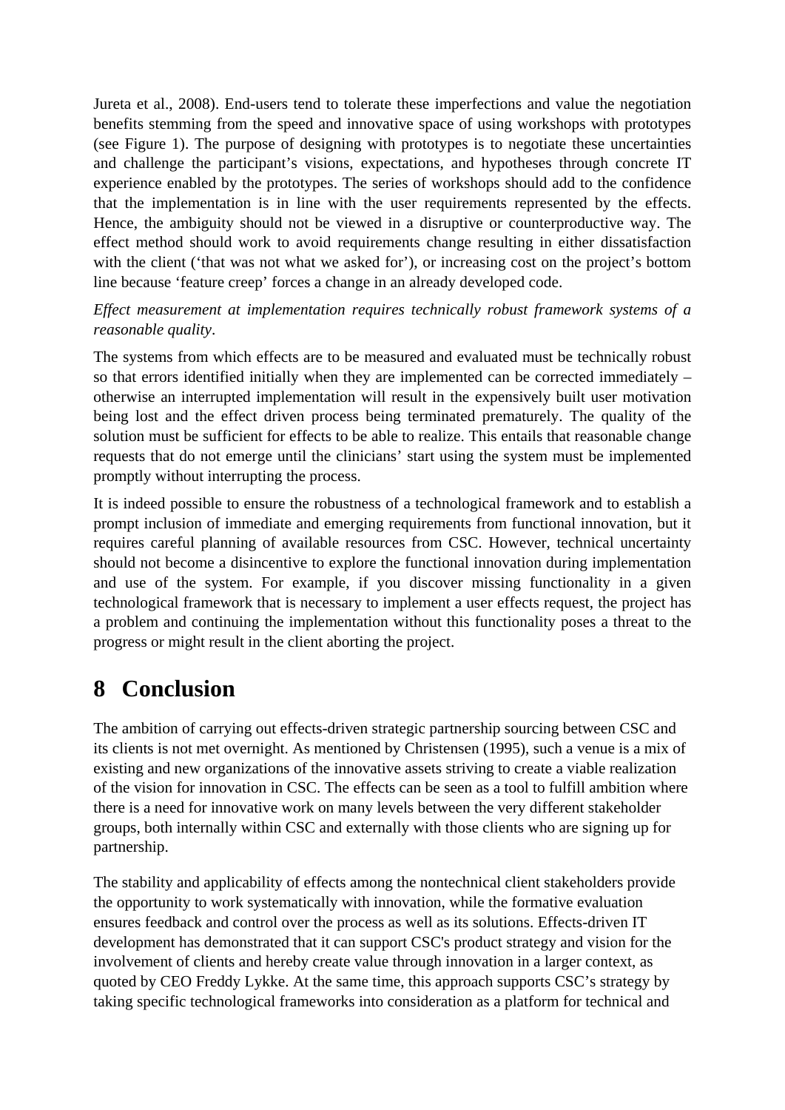Jureta et al., 2008). End-users tend to tolerate these imperfections and value the negotiation benefits stemming from the speed and innovative space of using workshops with prototypes (see Figure 1). The purpose of designing with prototypes is to negotiate these uncertainties and challenge the participant's visions, expectations, and hypotheses through concrete IT experience enabled by the prototypes. The series of workshops should add to the confidence that the implementation is in line with the user requirements represented by the effects. Hence, the ambiguity should not be viewed in a disruptive or counterproductive way. The effect method should work to avoid requirements change resulting in either dissatisfaction with the client ('that was not what we asked for'), or increasing cost on the project's bottom line because 'feature creep' forces a change in an already developed code.

*Effect measurement at implementation requires technically robust framework systems of a reasonable quality*.

The systems from which effects are to be measured and evaluated must be technically robust so that errors identified initially when they are implemented can be corrected immediately – otherwise an interrupted implementation will result in the expensively built user motivation being lost and the effect driven process being terminated prematurely. The quality of the solution must be sufficient for effects to be able to realize. This entails that reasonable change requests that do not emerge until the clinicians' start using the system must be implemented promptly without interrupting the process.

It is indeed possible to ensure the robustness of a technological framework and to establish a prompt inclusion of immediate and emerging requirements from functional innovation, but it requires careful planning of available resources from CSC. However, technical uncertainty should not become a disincentive to explore the functional innovation during implementation and use of the system. For example, if you discover missing functionality in a given technological framework that is necessary to implement a user effects request, the project has a problem and continuing the implementation without this functionality poses a threat to the progress or might result in the client aborting the project.

## **8 Conclusion**

The ambition of carrying out effects-driven strategic partnership sourcing between CSC and its clients is not met overnight. As mentioned by Christensen (1995), such a venue is a mix of existing and new organizations of the innovative assets striving to create a viable realization of the vision for innovation in CSC. The effects can be seen as a tool to fulfill ambition where there is a need for innovative work on many levels between the very different stakeholder groups, both internally within CSC and externally with those clients who are signing up for partnership.

The stability and applicability of effects among the nontechnical client stakeholders provide the opportunity to work systematically with innovation, while the formative evaluation ensures feedback and control over the process as well as its solutions. Effects-driven IT development has demonstrated that it can support CSC's product strategy and vision for the involvement of clients and hereby create value through innovation in a larger context, as quoted by CEO Freddy Lykke. At the same time, this approach supports CSC's strategy by taking specific technological frameworks into consideration as a platform for technical and